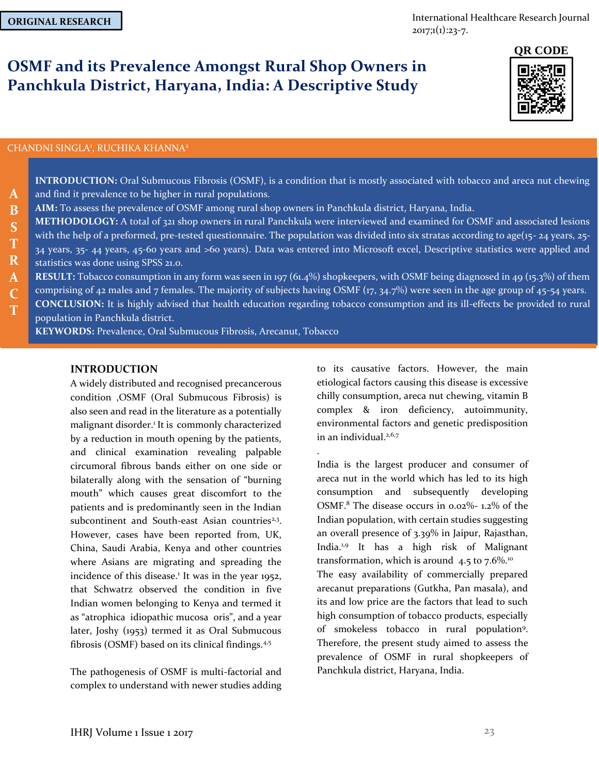**A B S T R**

International Healthcare Research Journal  $2017;1(1):23-7.$ 

# **OSMF and its Prevalence Amongst Rural Shop Owners in Panchkula District, Haryana, India: A Descriptive Study**

#### CHANDNI SINGLA<sup>1</sup>, RUCHIKA KHANNA<sup>2</sup>

**INTRODUCTION:** Oral Submucous Fibrosis (OSMF), is a condition that is mostly associated with tobacco and areca nut chewing and find it prevalence to be higher in rural populations. **AIM:** To assess the prevalence of OSMF among rural shop owners in Panchkula district, Haryana, India. **METHODOLOGY:** A total of 321 shop owners in rural Panchkula were interviewed and examined for OSMF and associated lesions with the help of a preformed, pre-tested questionnaire. The population was divided into six stratas according to age(15- 24 years, 25-34 years, 35- 44 years, 45-60 years and >60 years). Data was entered into Microsoft excel, Descriptive statistics were applied and statistics was done using SPSS 21.0.

.

**RESULT:** Tobacco consumption in any form was seen in 197 (61.4%) shopkeepers, with OSMF being diagnosed in 49 (15.3%) of them comprising of 42 males and 7 females. The majority of subjects having OSMF (17, 34.7%) were seen in the age group of 45-54 years. **CONCLUSION:** It is highly advised that health education regarding tobacco consumption and its ill-effects be provided to rural **A C T**

population in Panchkula district.

**KEYWORDS:** Prevalence, Oral Submucous Fibrosis, Arecanut, Tobacco

# **INTRODUCTION**

A widely distributed and recognised precancerous condition ,OSMF (Oral Submucous Fibrosis) is also seen and read in the literature as a potentially malignant disorder.<sup>1</sup> It is commonly characterized by a reduction in mouth opening by the patients, and clinical examination revealing palpable circumoral fibrous bands either on one side or bilaterally along with the sensation of "burning mouth" which causes great discomfort to the patients and is predominantly seen in the Indian subcontinent and South-east Asian countries<sup>2,3</sup>. However, cases have been reported from, UK, China, Saudi Arabia, Kenya and other countries where Asians are migrating and spreading the incidence of this disease.<sup>1</sup> It was in the year 1952, that Schwatrz observed the condition in five Indian women belonging to Kenya and termed it as "atrophica idiopathic mucosa oris", and a year later, Joshy (1953) termed it as Oral Submucous fibrosis (OSMF) based on its clinical findings.<sup>4,5</sup>

The pathogenesis of OSMF is multi-factorial and complex to understand with newer studies adding to its causative factors. However, the main etiological factors causing this disease is excessive chilly consumption, areca nut chewing, vitamin B complex & iron deficiency, autoimmunity, environmental factors and genetic predisposition in an individual. $2,6,7$ 

India is the largest producer and consumer of areca nut in the world which has led to its high consumption and subsequently developing OSMF.<sup>8</sup> The disease occurs in 0.02%- 1.2% of the Indian population, with certain studies suggesting an overall presence of 3.39% in Jaipur, Rajasthan, India.1,9 It has a high risk of Malignant transformation, which is around  $4.5$  to  $7.6\%$ .<sup>10</sup> The easy availability of commercially prepared arecanut preparations (Gutkha, Pan masala), and its and low price are the factors that lead to such high consumption of tobacco products, especially of smokeless tobacco in rural population<sup>9</sup> . Therefore, the present study aimed to assess the prevalence of OSMF in rural shopkeepers of Panchkula district, Haryana, India.

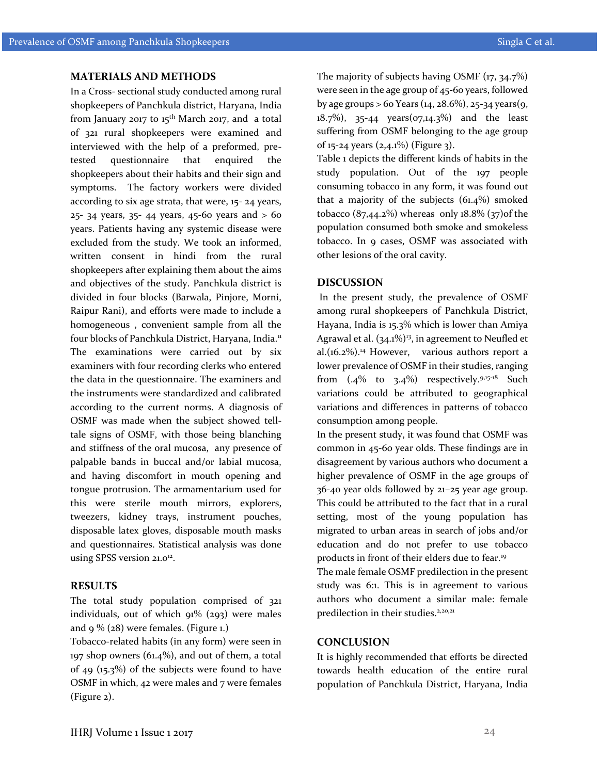#### **MATERIALS AND METHODS**

In a Cross- sectional study conducted among rural shopkeepers of Panchkula district, Haryana, India from January 2017 to  $15^{th}$  March 2017, and a total of 321 rural shopkeepers were examined and interviewed with the help of a preformed, pretested questionnaire that enquired the shopkeepers about their habits and their sign and symptoms. The factory workers were divided according to six age strata, that were, 15- 24 years, 25- 34 years, 35- 44 years, 45-60 years and > 60 years. Patients having any systemic disease were excluded from the study. We took an informed, written consent in hindi from the rural shopkeepers after explaining them about the aims and objectives of the study. Panchkula district is divided in four blocks (Barwala, Pinjore, Morni, Raipur Rani), and efforts were made to include a homogeneous , convenient sample from all the four blocks of Panchkula District, Haryana, India.<sup>11</sup> The examinations were carried out by six examiners with four recording clerks who entered the data in the questionnaire. The examiners and the instruments were standardized and calibrated according to the current norms. A diagnosis of OSMF was made when the subject showed telltale signs of OSMF, with those being blanching and stiffness of the oral mucosa, any presence of palpable bands in buccal and/or labial mucosa, and having discomfort in mouth opening and tongue protrusion. The armamentarium used for this were sterile mouth mirrors, explorers, tweezers, kidney trays, instrument pouches, disposable latex gloves, disposable mouth masks and questionnaires. Statistical analysis was done using SPSS version 21.0<sup>12</sup>.

#### **RESULTS**

The total study population comprised of 321 individuals, out of which  $91\%$  (293) were males and 9 % (28) were females. (Figure 1.)

Tobacco-related habits (in any form) were seen in 197 shop owners (61.4%), and out of them, a total of 49 (15.3%) of the subjects were found to have OSMF in which, 42 were males and 7 were females (Figure 2).

The majority of subjects having OSMF (17, 34.7%) were seen in the age group of 45-60 years, followed by age groups  $> 60$  Years (14, 28.6%), 25-34 years (9, 18.7%), 35-44 years(07,14.3%) and the least suffering from OSMF belonging to the age group of 15-24 years (2,4.1%) (Figure 3).

Table 1 depicts the different kinds of habits in the study population. Out of the 197 people consuming tobacco in any form, it was found out that a majority of the subjects (61.4%) smoked tobacco  $(87,44.2\%)$  whereas only  $18.8\%$   $(37)$  of the population consumed both smoke and smokeless tobacco. In 9 cases, OSMF was associated with other lesions of the oral cavity.

# **DISCUSSION**

In the present study, the prevalence of OSMF among rural shopkeepers of Panchkula District, Hayana, India is 15.3% which is lower than Amiya Agrawal et al.  $(34.1\%)$ <sup>3</sup>, in agreement to Neufled et al. $(16.2\%)$ .<sup>14</sup> However, various authors report a lower prevalence of OSMF in their studies, ranging from  $(.4\%$  to  $3.4\%)$  respectively.  $9.15-18$  Such variations could be attributed to geographical variations and differences in patterns of tobacco consumption among people.

In the present study, it was found that OSMF was common in 45-60 year olds. These findings are in disagreement by various authors who document a higher prevalence of OSMF in the age groups of 36-40 year olds followed by 21–25 year age group. This could be attributed to the fact that in a rural setting, most of the young population has migrated to urban areas in search of jobs and/or education and do not prefer to use tobacco products in front of their elders due to fear.<sup>19</sup>

The male female OSMF predilection in the present study was 6:1. This is in agreement to various authors who document a similar male: female predilection in their studies.<sup>2,20,21</sup>

#### **CONCLUSION**

It is highly recommended that efforts be directed towards health education of the entire rural population of Panchkula District, Haryana, India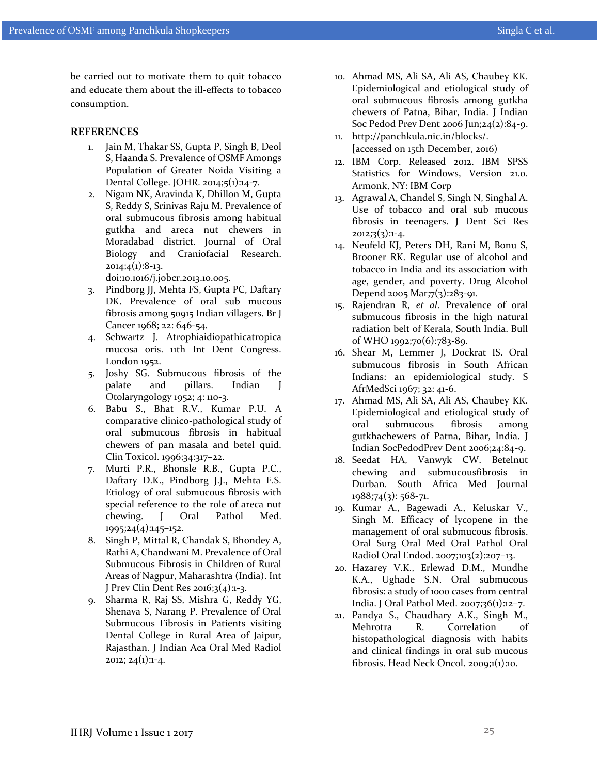be carried out to motivate them to quit tobacco and educate them about the ill-effects to tobacco consumption.

### **REFERENCES**

- 1. Jain M, Thakar SS, Gupta P, Singh B, Deol S, Haanda S. Prevalence of OSMF Amongs Population of Greater Noida Visiting a Dental College. JOHR. 2014;5(1):14-7.
- 2. Nigam NK, Aravinda K, Dhillon M, Gupta S, Reddy S, Srinivas Raju M. Prevalence of oral submucous fibrosis among habitual gutkha and areca nut chewers in Moradabad district. Journal of Oral Biology and Craniofacial Research.  $2014;4(1):8-13.$

doi:10.1016/j.jobcr.2013.10.005.

- 3. Pindborg JJ, Mehta FS, Gupta PC, Daftary DK. Prevalence of oral sub mucous fibrosis among 50915 Indian villagers. Br J Cancer 1968; 22: 646-54.
- 4. Schwartz J. Atrophiaidiopathicatropica mucosa oris. 11th Int Dent Congress. London 1952.
- 5. Joshy SG. Submucous fibrosis of the palate and pillars. Indian J Otolaryngology 1952; 4: 110-3.
- 6. Babu S., Bhat R.V., Kumar P.U. A comparative clinico-pathological study of oral submucous fibrosis in habitual chewers of pan masala and betel quid. Clin Toxicol. 1996;34:317–22.
- 7. Murti P.R., Bhonsle R.B., Gupta P.C., Daftary D.K., Pindborg J.J., Mehta F.S. Etiology of oral submucous fibrosis with special reference to the role of areca nut chewing. J Oral Pathol Med. 1995;24(4):145–152.
- 8. Singh P, Mittal R, Chandak S, Bhondey A, Rathi A, Chandwani M. Prevalence of Oral Submucous Fibrosis in Children of Rural Areas of Nagpur, Maharashtra (India). Int J Prev Clin Dent Res 2016;3(4):1-3.
- 9. Sharma R, Raj SS, Mishra G, Reddy YG, Shenava S, Narang P. Prevalence of Oral Submucous Fibrosis in Patients visiting Dental College in Rural Area of Jaipur, Rajasthan. J Indian Aca Oral Med Radiol  $2012; 24(1):1-4.$
- 10. Ahmad MS, Ali SA, Ali AS, Chaubey KK. Epidemiological and etiological study of oral submucous fibrosis among gutkha chewers of Patna, Bihar, India. J Indian Soc Pedod Prev Dent 2006 Jun;24(2):84-9.
- 11. http://panchkula.nic.in/blocks/. [accessed on 15th December, 2016)
- 12. IBM Corp. Released 2012. IBM SPSS Statistics for Windows, Version 21.0. Armonk, NY: IBM Corp
- 13. Agrawal A, Chandel S, Singh N, Singhal A. Use of tobacco and oral sub mucous fibrosis in teenagers. J Dent Sci Res  $2012;3(3):1-4.$
- 14. Neufeld KJ, Peters DH, Rani M, Bonu S, Brooner RK. Regular use of alcohol and tobacco in India and its association with age, gender, and poverty. Drug Alcohol Depend 2005 Mar;7(3):283-91.
- 15. Rajendran R, *et al*. Prevalence of oral submucous fibrosis in the high natural radiation belt of Kerala, South India. Bull of WHO 1992;70(6):783-89.
- 16. Shear M, Lemmer J, Dockrat IS. Oral submucous fibrosis in South African Indians: an epidemiological study. S AfrMedSci 1967; 32: 41-6.
- 17. Ahmad MS, Ali SA, Ali AS, Chaubey KK. Epidemiological and etiological study of oral submucous fibrosis among gutkhachewers of Patna, Bihar, India. J Indian SocPedodPrev Dent 2006;24:84-9.
- 18. Seedat HA, Vanwyk CW. Betelnut chewing and submucousfibrosis in Durban. South Africa Med Journal 1988;74(3): 568-71.
- 19. Kumar A., Bagewadi A., Keluskar V., Singh M. Efficacy of lycopene in the management of oral submucous fibrosis. Oral Surg Oral Med Oral Pathol Oral Radiol Oral Endod. 2007;103(2):207–13.
- 20. Hazarey V.K., Erlewad D.M., Mundhe K.A., Ughade S.N. Oral submucous fibrosis: a study of 1000 cases from central India. J Oral Pathol Med. 2007;36(1):12–7.
- 21. Pandya S., Chaudhary A.K., Singh M., Mehrotra R. Correlation of histopathological diagnosis with habits and clinical findings in oral sub mucous fibrosis. Head Neck Oncol. 2009;1(1):10.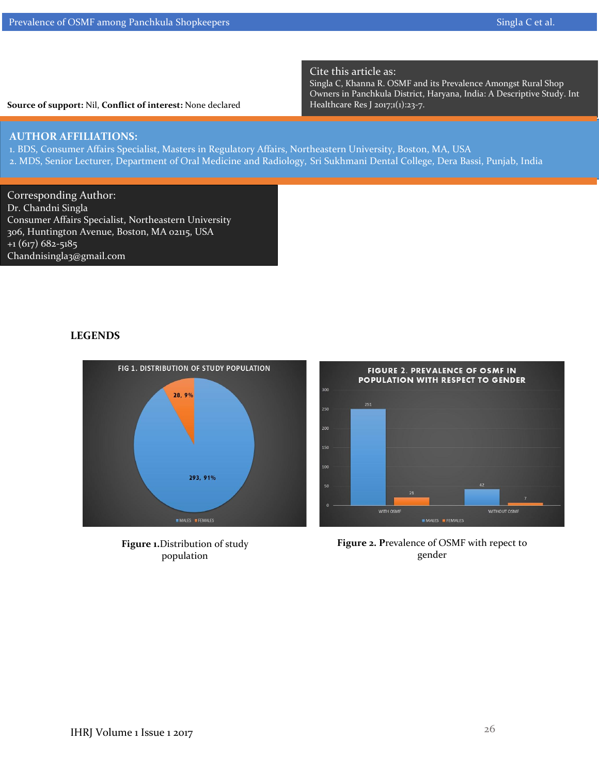**Source of support:** Nil, **Conflict of interest:** None declared

# Cite this article as:

Singla C, Khanna R. OSMF and its Prevalence Amongst Rural Shop Owners in Panchkula District, Haryana, India: A Descriptive Study. Int Healthcare Res J 2017;1(1):23-7.

# **AUTHOR AFFILIATIONS:**

1. BDS, Consumer Affairs Specialist, Masters in Regulatory Affairs, Northeastern University, Boston, MA, USA 2. MDS, Senior Lecturer, Department of Oral Medicine and Radiology, Sri Sukhmani Dental College, Dera Bassi, Punjab, India

l

300

250 200

 $100$ 

Corresponding Author: Dr. Chandni Singla Consumer Affairs Specialist, Northeastern University 306, Huntington Avenue, Boston, MA 02115, USA  $+1(617)682-5185$ Chandnisingla3@gmail.com

# **LEGENDS**



FIG 1. DISTRIBUTION OF STUDY POPULATION

**Figure 1.**Distribution of study population



FIGURE 2. PREVALENCE OF OSMF IN **POPULATION WITH RESPECT TO GENDER** 

**Figure 2. P**revalence of OSMF with repect to gender

26